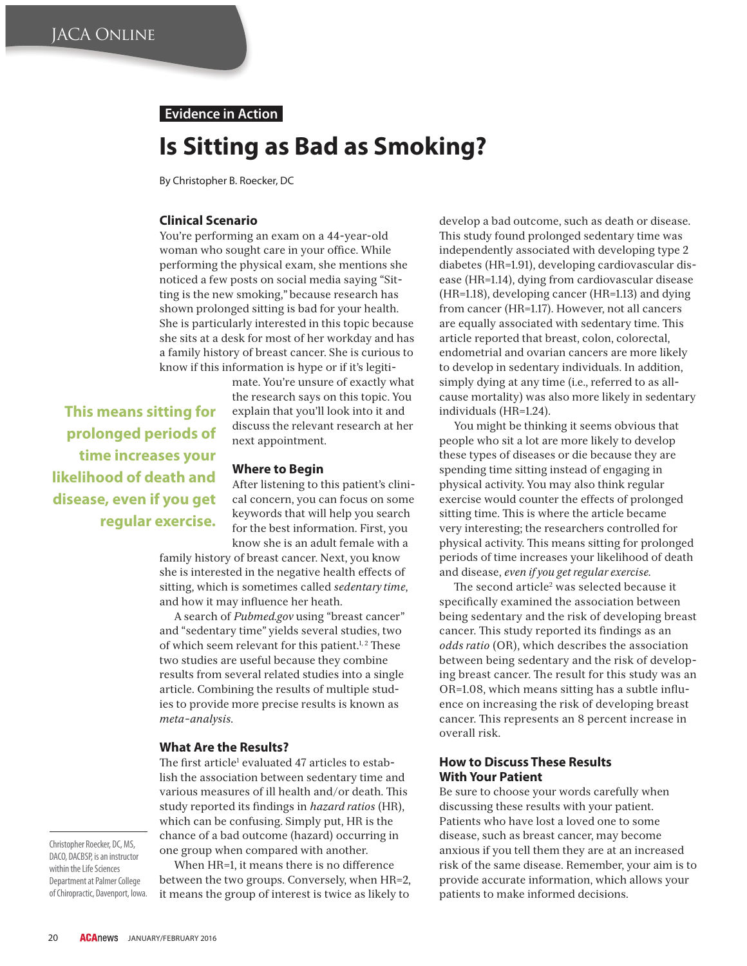## **Evidence in Action**

# **Is Sitting as Bad as Smoking?**

By Christopher B. Roecker, DC

## **Clinical Scenario**

You're performing an exam on a 44-year-old woman who sought care in your office. While performing the physical exam, she mentions she noticed a few posts on social media saying "Sitting is the new smoking," because research has shown prolonged sitting is bad for your health. She is particularly interested in this topic because she sits at a desk for most of her workday and has a family history of breast cancer. She is curious to know if this information is hype or if it's legiti-

**This means sitting for prolonged periods of time increases your likelihood of death and disease, even if you get regular exercise.** mate. You're unsure of exactly what the research says on this topic. You explain that you'll look into it and discuss the relevant research at her next appointment.

#### **Where to Begin**

After listening to this patient's clinical concern, you can focus on some keywords that will help you search for the best information. First, you know she is an adult female with a

family history of breast cancer. Next, you know she is interested in the negative health effects of sitting, which is sometimes called *sedentary time*, and how it may influence her heath.

A search of *Pubmed.gov* using "breast cancer" and "sedentary time" yields several studies, two of which seem relevant for this patient. $1, 2$  These two studies are useful because they combine results from several related studies into a single article. Combining the results of multiple studies to provide more precise results is known as *meta-analysis*.

#### **What Are the Results?**

The first article<sup>1</sup> evaluated 47 articles to establish the association between sedentary time and various measures of ill health and/or death. This study reported its findings in *hazard ratios* (HR), which can be confusing. Simply put, HR is the chance of a bad outcome (hazard) occurring in one group when compared with another.

Christopher Roecker, DC, MS,<br>DACO, DACBSP, is an instructor within the Life Sciences Department at Palmer College - -partment at rainter centry.<br>of Chimnractic Davennort Iow of Chiropractic, Davenport, Iowa.

When HR=1, it means there is no difference between the two groups. Conversely, when HR=2, it means the group of interest is twice as likely to

develop a bad outcome, such as death or disease. This study found prolonged sedentary time was independently associated with developing type 2 diabetes (HR=1.91), developing cardiovascular disease (HR=1.14), dying from cardiovascular disease (HR=1.18), developing cancer (HR=1.13) and dying from cancer (HR=1.17). However, not all cancers are equally associated with sedentary time. This article reported that breast, colon, colorectal, endometrial and ovarian cancers are more likely to develop in sedentary individuals. In addition, simply dying at any time (i.e., referred to as allcause mortality) was also more likely in sedentary individuals (HR=1.24).

You might be thinking it seems obvious that people who sit a lot are more likely to develop these types of diseases or die because they are spending time sitting instead of engaging in physical activity. You may also think regular exercise would counter the effects of prolonged sitting time. This is where the article became very interesting; the researchers controlled for physical activity. This means sitting for prolonged periods of time increases your likelihood of death and disease, *even if you get regular exercise*.

The second article<sup>2</sup> was selected because it specifically examined the association between being sedentary and the risk of developing breast cancer. This study reported its findings as an *odds ratio* (OR), which describes the association between being sedentary and the risk of developing breast cancer. The result for this study was an OR=1.08, which means sitting has a subtle influence on increasing the risk of developing breast cancer. This represents an 8 percent increase in overall risk.

### **How to Discuss These Results With Your Patient**

Be sure to choose your words carefully when discussing these results with your patient. Patients who have lost a loved one to some disease, such as breast cancer, may become anxious if you tell them they are at an increased risk of the same disease. Remember, your aim is to provide accurate information, which allows your patients to make informed decisions.